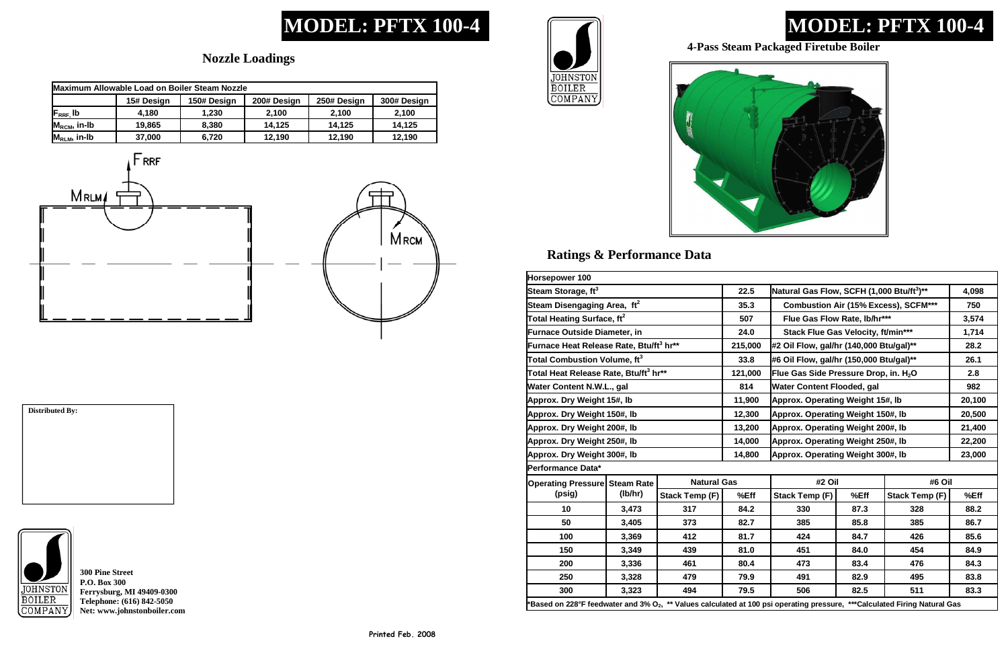## **MODEL: PFTX 100-4**

### **Ratings & Performance Data**

## **MODEL: PFTX 100-4**

### **Nozzle Loadings**

**300 Pine Street P.O. Box 300 Ferrysburg, MI 49409-0300 Telephone: (616) 842-5050 Net: www.johnstonboiler.com** 





# **Distributed By:**



#### **4-Pass Steam Packaged Firetube Boiler**

| Maximum Allowable Load on Boiler Steam Nozzle      |            |             |             |             |             |  |  |
|----------------------------------------------------|------------|-------------|-------------|-------------|-------------|--|--|
|                                                    | 15# Design | 150# Design | 200# Design | 250# Design | 300# Design |  |  |
| $\mathsf{F}_{\mathsf{R}\mathsf{R}\mathsf{F}}$ , Ib | 4.180      | 1.230       | 2.100       | 2.100       | 2.100       |  |  |
| $M_{\text{RCM}}$ , in-Ib                           | 19,865     | 8,380       | 14,125      | 14,125      | 14,125      |  |  |
| $M_{RLM}$ , in-Ib                                  | 37,000     | 6.720       | 12,190      | 12,190      | 12,190      |  |  |





| Horsepower 100                                                                                                                        |         |                                                       |       |                                           |        |                       |       |
|---------------------------------------------------------------------------------------------------------------------------------------|---------|-------------------------------------------------------|-------|-------------------------------------------|--------|-----------------------|-------|
| Steam Storage, ft <sup>3</sup>                                                                                                        | 22.5    | Natural Gas Flow, SCFH (1,000 Btu/ft <sup>3</sup> )** | 4,098 |                                           |        |                       |       |
| Steam Disengaging Area, ft <sup>2</sup>                                                                                               | 35.3    | <b>Combustion Air (15% Excess), SCFM***</b>           | 750   |                                           |        |                       |       |
| Total Heating Surface, ft <sup>2</sup>                                                                                                |         |                                                       | 507   | Flue Gas Flow Rate, lb/hr***              |        |                       | 3,574 |
| <b>Furnace Outside Diameter, in</b>                                                                                                   |         |                                                       | 24.0  | <b>Stack Flue Gas Velocity, ft/min***</b> |        |                       | 1,714 |
| Furnace Heat Release Rate, Btu/ft <sup>3</sup> hr**                                                                                   | 215,000 | #2 Oil Flow, gal/hr (140,000 Btu/gal)**               |       |                                           | 28.2   |                       |       |
| Total Combustion Volume, $\mathfrak{ft}^3$                                                                                            | 33.8    | #6 Oil Flow, gal/hr (150,000 Btu/gal)**               | 26.1  |                                           |        |                       |       |
| Total Heat Release Rate, Btu/ft <sup>3</sup> hr**                                                                                     | 121,000 | Flue Gas Side Pressure Drop, in. H <sub>2</sub> O     | 2.8   |                                           |        |                       |       |
| Water Content N.W.L., gal                                                                                                             | 814     | Water Content Flooded, gal                            | 982   |                                           |        |                       |       |
| Approx. Dry Weight 15#, lb                                                                                                            | 11,900  | Approx. Operating Weight 15#, Ib                      |       |                                           | 20,100 |                       |       |
| Approx. Dry Weight 150#, lb                                                                                                           | 12,300  | Approx. Operating Weight 150#, Ib                     |       |                                           | 20,500 |                       |       |
| Approx. Dry Weight 200#, Ib                                                                                                           | 13,200  | Approx. Operating Weight 200#, Ib                     |       |                                           | 21,400 |                       |       |
| Approx. Dry Weight 250#, lb                                                                                                           | 14,000  | Approx. Operating Weight 250#, Ib                     |       |                                           | 22,200 |                       |       |
| Approx. Dry Weight 300#, lb                                                                                                           | 14,800  | Approx. Operating Weight 300#, Ib                     |       |                                           | 23,000 |                       |       |
| Performance Data*                                                                                                                     |         |                                                       |       |                                           |        |                       |       |
| <b>Operating Pressure Steam Rate</b><br>(psig)                                                                                        | (lb/hr) | <b>Natural Gas</b>                                    |       | #2 Oil                                    |        | #6 Oil                |       |
|                                                                                                                                       |         | <b>Stack Temp (F)</b>                                 | %Eff  | Stack Temp (F)                            | %Eff   | <b>Stack Temp (F)</b> | %Eff  |
| 10                                                                                                                                    | 3,473   | 317                                                   | 84.2  | 330                                       | 87.3   | 328                   | 88.2  |
| 50                                                                                                                                    | 3,405   | 373                                                   | 82.7  | 385                                       | 85.8   | 385                   | 86.7  |
| 100                                                                                                                                   | 3,369   | 412                                                   | 81.7  | 424                                       | 84.7   | 426                   | 85.6  |
| 150                                                                                                                                   | 3,349   | 439                                                   | 81.0  | 451                                       | 84.0   | 454                   | 84.9  |
| 200                                                                                                                                   | 3,336   | 461                                                   | 80.4  | 473                                       | 83.4   | 476                   | 84.3  |
| 250                                                                                                                                   | 3,328   | 479                                                   | 79.9  | 491                                       | 82.9   | 495                   | 83.8  |
| 300                                                                                                                                   | 3,323   | 494                                                   | 79.5  | 506                                       | 82.5   | 511                   | 83.3  |
| Based on 228°F feedwater and 3% O <sub>2</sub> , ** Values calculated at 100 psi operating pressure, ***Calculated Firing Natural Gas |         |                                                       |       |                                           |        |                       |       |